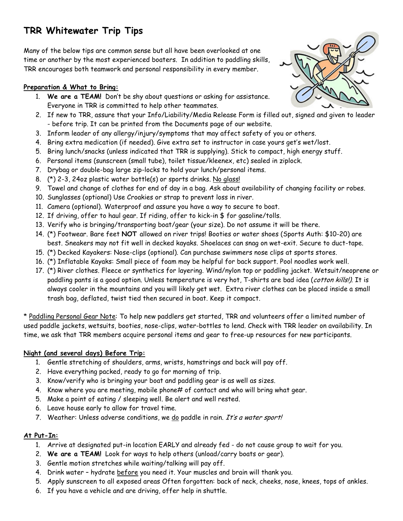# **TRR Whitewater Trip Tips**

Many of the below tips are common sense but all have been overlooked at one time or another by the most experienced boaters. In addition to paddling skills, TRR encourages both teamwork and personal responsibility in every member.

## **Preparation & What to Bring:**

- 1. **We are a TEAM!** Don't be shy about questions or asking for assistance. Everyone in TRR is committed to help other teammates.
- 2. If new to TRR, assure that your Info/Liability/Media Release Form is filled out, signed and given to leader - before trip. It can be printed from the Documents page of our website.
- 3. Inform leader of any allergy/injury/symptoms that may affect safety of you or others.
- 4. Bring extra medication (if needed). Give extra set to instructor in case yours get's wet/lost.
- 5. Bring lunch/snacks (unless indicated that TRR is supplying). Stick to compact, high energy stuff.
- 6. Personal items (sunscreen (small tube), toilet tissue/kleenex, etc) sealed in ziplock.
- 7. Drybag or double-bag large zip-locks to hold your lunch/personal items.
- 8. (\*) 2-3, 24oz plastic water bottle(s) or sports drinks. No glass!
- 9. Towel and change of clothes for end of day in a bag. Ask about availability of changing facility or robes.
- 10. Sunglasses (optional) Use Croakies or strap to prevent loss in river.
- 11. Camera (optional). Waterproof and assure you have a way to secure to boat.
- 12. If driving, offer to haul gear. If riding, offer to kick-in \$ for gasoline/tolls.
- 13. Verify who is bringing/transporting boat/gear (your size). Do not assume it will be there.
- 14. (\*) Footwear. Bare feet **NOT** allowed on river trips! Booties or water shoes (Sports Auth: \$10-20) are best. Sneakers may not fit well in decked kayaks. Shoelaces can snag on wet-exit. Secure to duct-tape.
- 15. (\*) Decked Kayakers: Nose-clips (optional). Can purchase swimmers nose clips at sports stores.
- 16. (\*) Inflatable Kayaks: Small piece of foam may be helpful for back support. Pool noodles work well.
- 17. (\*) River clothes. Fleece or synthetics for layering. Wind/nylon top or paddling jacket. Wetsuit/neoprene or paddling pants is a good option. Unless temperature is very hot, T-shirts are bad idea (*cotton kills!)*. It is always cooler in the mountains and you will likely get wet. Extra river clothes can be placed inside a small trash bag, deflated, twist tied then secured in boat. Keep it compact.

\* Paddling Personal Gear Note: To help new paddlers get started, TRR and volunteers offer a limited number of used paddle jackets, wetsuits, booties, nose-clips, water-bottles to lend. Check with TRR leader on availability. In time, we ask that TRR members acquire personal items and gear to free-up resources for new participants.

## **Night (and several days) Before Trip:**

- 1. Gentle stretching of shoulders, arms, wrists, hamstrings and back will pay off.
- 2. Have everything packed, ready to go for morning of trip.
- 3. Know/verify who is bringing your boat and paddling gear is as well as sizes.
- 4. Know where you are meeting, mobile phone# of contact and who will bring what gear.
- 5. Make a point of eating / sleeping well. Be alert and well rested.
- 6. Leave house early to allow for travel time.
- 7. Weather: Unless adverse conditions, we do paddle in rain. It's a water sport!

## **At Put-In:**

- 1. Arrive at designated put-in location EARLY and already fed do not cause group to wait for you.
- 2. **We are a TEAM!** Look for ways to help others (unload/carry boats or gear).
- 3. Gentle motion stretches while waiting/talking will pay off.
- 4. Drink water hydrate before you need it. Your muscles and brain will thank you.
- 5. Apply sunscreen to all exposed areas Often forgotten: back of neck, cheeks, nose, knees, tops of ankles.
- 6. If you have a vehicle and are driving, offer help in shuttle.